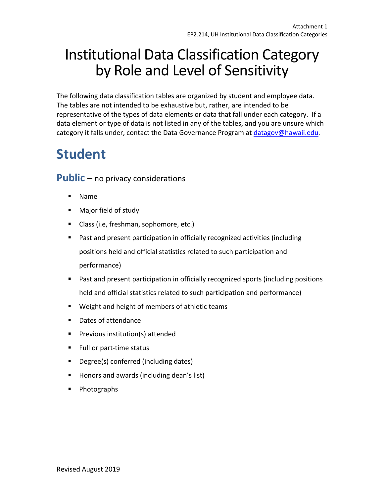# Institutional Data Classification Category by Role and Level of Sensitivity

 The following data classification tables are organized by student and employee data. The tables are not intended to be exhaustive but, rather, are intended to be representative of the types of data elements or data that fall under each category. If a data element or type of data is not listed in any of the tables, and you are unsure which category it falls under, contact the Data Governance Program at *datagov@hawaii.edu.* 

## **Student**

Public – no privacy considerations

- Name
- Major field of study
- Class (i.e, freshman, sophomore, etc.)
- • Past and present participation in officially recognized activities (including positions held and official statistics related to such participation and performance)
- • Past and present participation in officially recognized sports (including positions held and official statistics related to such participation and performance)
- Weight and height of members of athletic teams
- Dates of attendance
- Previous institution(s) attended
- Full or part-time status
- Degree(s) conferred (including dates)
- Honors and awards (including dean's list)
- Photographs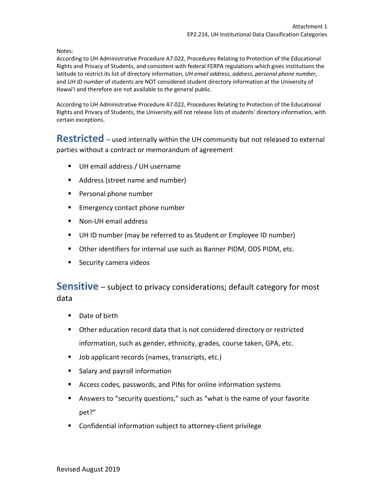Notes:

 According to UH Administrative Procedure A7.022, Procedures Relating to Protection of the Educational Rights and Privacy of Students, and consistent with federal FERPA regulations which gives institutions the and *UH ID number* of students are NOT considered student directory information at the University of Hawai'i and therefore are not available to the general public. latitude to restrict its list of directory information, *UH email address*, *address*, *personal phone number*,

 According to UH Administrative Procedure A7.022, Procedures Relating to Protection of the Educational Rights and Privacy of Students, the University will not release lists of students' directory information, with certain exceptions.

 **Restricted** – used internally within the UH community but not released to external parties without a contract or memorandum of agreement

- UH email address / UH username
- Address (street name and number)
- Personal phone number
- **Emergency contact phone number**
- Non-UH email address
- UH ID number (may be referred to as Student or Employee ID number)
- Other identifiers for internal use such as Banner PIDM, ODS PIDM, etc.
- **•** Security camera videos

 **Sensitive** – subject to privacy considerations; default category for most data

- Date of birth
- • Other education record data that is not considered directory or restricted information, such as gender, ethnicity, grades, course taken, GPA, etc.
- Job applicant records (names, transcripts, etc.)
- Salary and payroll information
- Access codes, passwords, and PINs for online information systems
- • Answers to "security questions," such as "what is the name of your favorite pet?"
- Confidential information subject to attorney-client privilege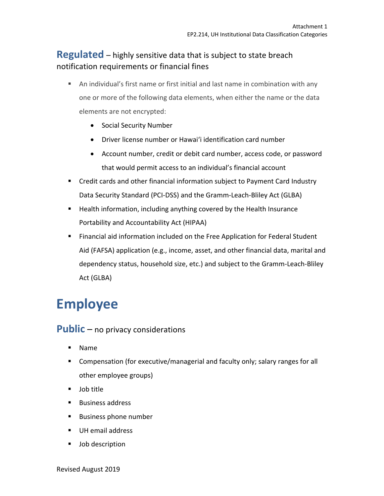#### **Regulated** – highly sensitive data that is subject to state breach notification requirements or financial fines

- • An individual's first name or first initial and last name in combination with any one or more of the following data elements, when either the name or the data elements are not encrypted:
	- Social Security Number
	- Driver license number or Hawai'i identification card number
	- • Account number, credit or debit card number, access code, or password that would permit access to an individual's financial account
- • Credit cards and other financial information subject to Payment Card Industry Data Security Standard (PCI-DSS) and the Gramm-Leach-Bliley Act (GLBA)
- • Health information, including anything covered by the Health Insurance Portability and Accountability Act (HIPAA)
- • Financial aid information included on the Free Application for Federal Student Aid (FAFSA) application (e.g., income, asset, and other financial data, marital and dependency status, household size, etc.) and subject to the Gramm-Leach-Bliley Act (GLBA)

### **Employee**

Public – no privacy considerations

- Name
- • Compensation (for executive/managerial and faculty only; salary ranges for all other employee groups)
- Job title
- Business address
- Business phone number
- UH email address
- Job description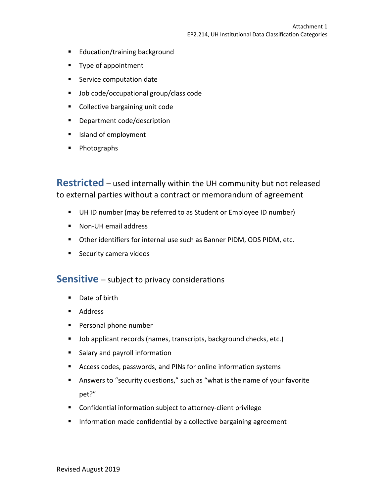- Education/training background
- Type of appointment
- **•** Service computation date
- Job code/occupational group/class code
- Collective bargaining unit code
- Department code/description
- Island of employment
- Photographs

 **Restricted** – used internally within the UH community but not released to external parties without a contract or memorandum of agreement

- UH ID number (may be referred to as Student or Employee ID number)
- Non-UH email address
- Other identifiers for internal use such as Banner PIDM, ODS PIDM, etc.
- **•** Security camera videos

### **Sensitive** – subject to privacy considerations

- Date of birth
- Address
- Personal phone number
- Job applicant records (names, transcripts, background checks, etc.)
- Salary and payroll information
- Access codes, passwords, and PINs for online information systems
- • Answers to "security questions," such as "what is the name of your favorite pet?"
- Confidential information subject to attorney-client privilege
- **•** Information made confidential by a collective bargaining agreement